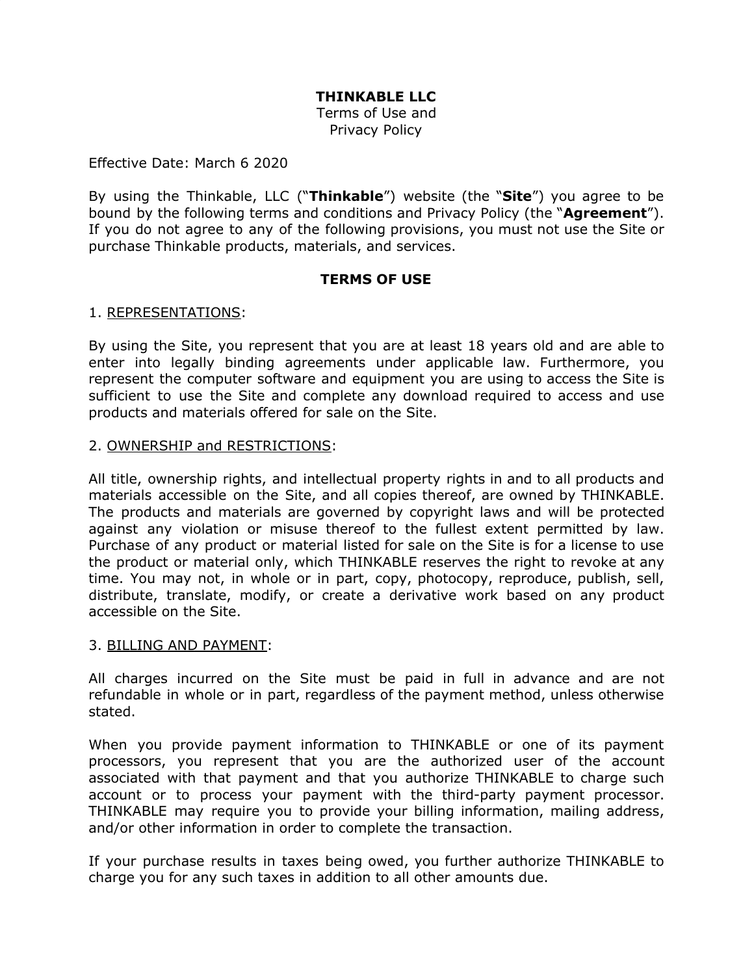# **THINKABLE LLC**

Terms of Use and Privacy Policy

#### Effective Date: March 6 2020

By using the Thinkable, LLC ("**Thinkable**") website (the "**Site**") you agree to be bound by the following terms and conditions and Privacy Policy (the "**Agreement**"). If you do not agree to any of the following provisions, you must not use the Site or purchase Thinkable products, materials, and services.

### **TERMS OF USE**

### 1. REPRESENTATIONS:

By using the Site, you represent that you are at least 18 years old and are able to enter into legally binding agreements under applicable law. Furthermore, you represent the computer software and equipment you are using to access the Site is sufficient to use the Site and complete any download required to access and use products and materials offered for sale on the Site.

### 2. OWNERSHIP and RESTRICTIONS:

All title, ownership rights, and intellectual property rights in and to all products and materials accessible on the Site, and all copies thereof, are owned by THINKABLE. The products and materials are governed by copyright laws and will be protected against any violation or misuse thereof to the fullest extent permitted by law. Purchase of any product or material listed for sale on the Site is for a license to use the product or material only, which THINKABLE reserves the right to revoke at any time. You may not, in whole or in part, copy, photocopy, reproduce, publish, sell, distribute, translate, modify, or create a derivative work based on any product accessible on the Site.

#### 3. BILLING AND PAYMENT:

All charges incurred on the Site must be paid in full in advance and are not refundable in whole or in part, regardless of the payment method, unless otherwise stated.

When you provide payment information to THINKABLE or one of its payment processors, you represent that you are the authorized user of the account associated with that payment and that you authorize THINKABLE to charge such account or to process your payment with the third-party payment processor. THINKABLE may require you to provide your billing information, mailing address, and/or other information in order to complete the transaction.

If your purchase results in taxes being owed, you further authorize THINKABLE to charge you for any such taxes in addition to all other amounts due.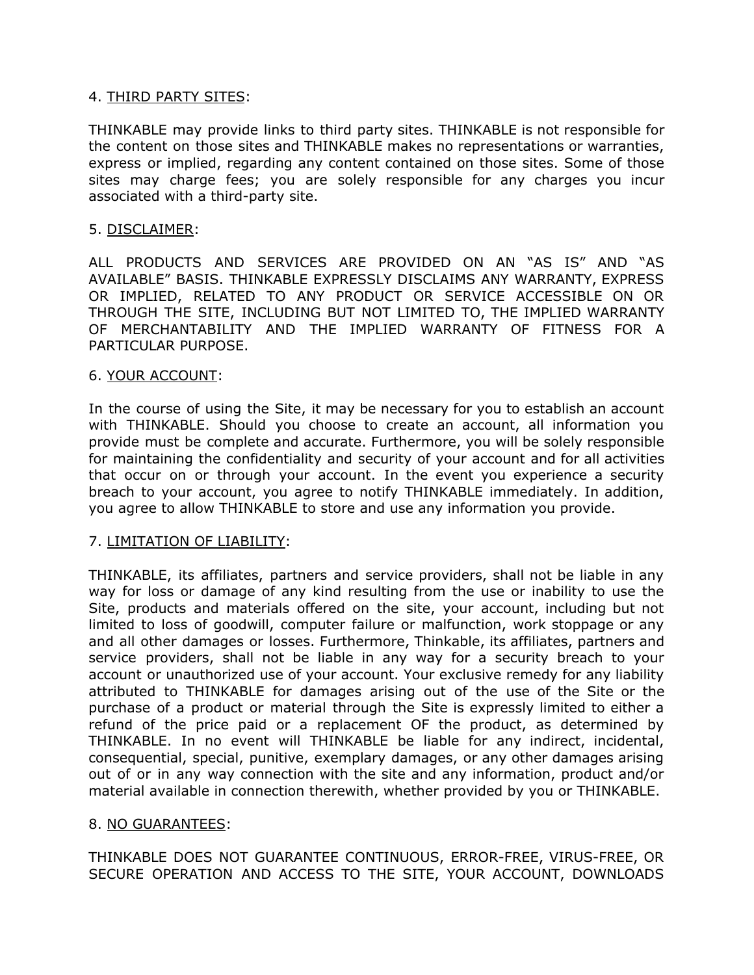### 4. THIRD PARTY SITES:

THINKABLE may provide links to third party sites. THINKABLE is not responsible for the content on those sites and THINKABLE makes no representations or warranties, express or implied, regarding any content contained on those sites. Some of those sites may charge fees; you are solely responsible for any charges you incur associated with a third-party site.

## 5. DISCLAIMER:

ALL PRODUCTS AND SERVICES ARE PROVIDED ON AN "AS IS" AND "AS AVAILABLE" BASIS. THINKABLE EXPRESSLY DISCLAIMS ANY WARRANTY, EXPRESS OR IMPLIED, RELATED TO ANY PRODUCT OR SERVICE ACCESSIBLE ON OR THROUGH THE SITE, INCLUDING BUT NOT LIMITED TO, THE IMPLIED WARRANTY OF MERCHANTABILITY AND THE IMPLIED WARRANTY OF FITNESS FOR A PARTICULAR PURPOSE.

### 6. YOUR ACCOUNT:

In the course of using the Site, it may be necessary for you to establish an account with THINKABLE. Should you choose to create an account, all information you provide must be complete and accurate. Furthermore, you will be solely responsible for maintaining the confidentiality and security of your account and for all activities that occur on or through your account. In the event you experience a security breach to your account, you agree to notify THINKABLE immediately. In addition, you agree to allow THINKABLE to store and use any information you provide.

# 7. LIMITATION OF LIABILITY:

THINKABLE, its affiliates, partners and service providers, shall not be liable in any way for loss or damage of any kind resulting from the use or inability to use the Site, products and materials offered on the site, your account, including but not limited to loss of goodwill, computer failure or malfunction, work stoppage or any and all other damages or losses. Furthermore, Thinkable, its affiliates, partners and service providers, shall not be liable in any way for a security breach to your account or unauthorized use of your account. Your exclusive remedy for any liability attributed to THINKABLE for damages arising out of the use of the Site or the purchase of a product or material through the Site is expressly limited to either a refund of the price paid or a replacement OF the product, as determined by THINKABLE. In no event will THINKABLE be liable for any indirect, incidental, consequential, special, punitive, exemplary damages, or any other damages arising out of or in any way connection with the site and any information, product and/or material available in connection therewith, whether provided by you or THINKABLE.

### 8. NO GUARANTEES:

THINKABLE DOES NOT GUARANTEE CONTINUOUS, ERROR-FREE, VIRUS-FREE, OR SECURE OPERATION AND ACCESS TO THE SITE, YOUR ACCOUNT, DOWNLOADS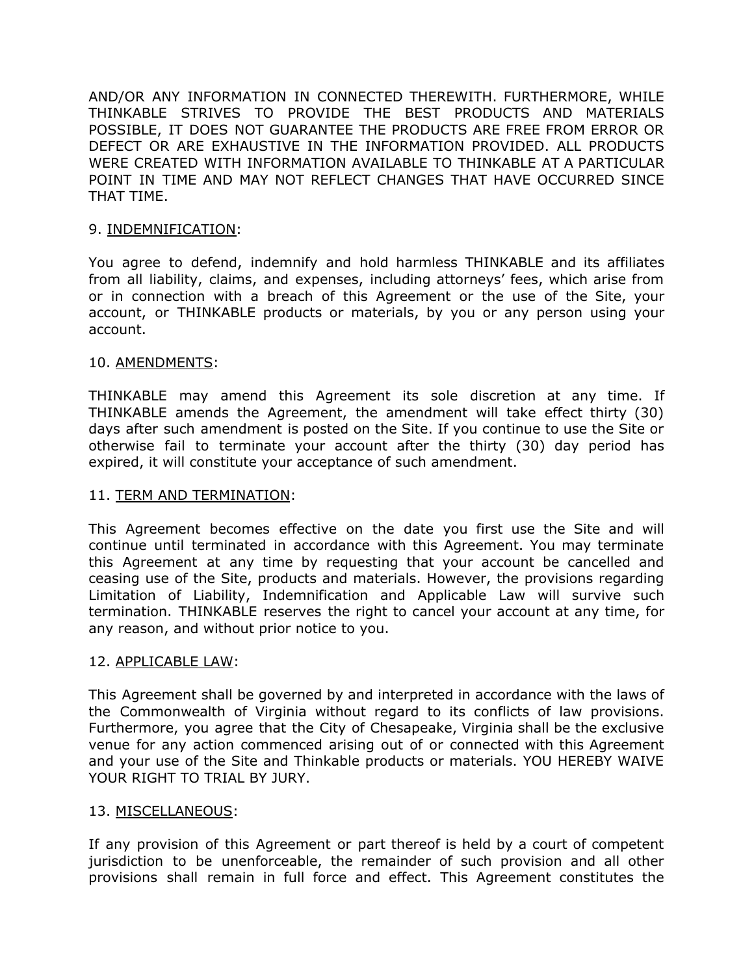AND/OR ANY INFORMATION IN CONNECTED THEREWITH. FURTHERMORE, WHILE THINKABLE STRIVES TO PROVIDE THE BEST PRODUCTS AND MATERIALS POSSIBLE, IT DOES NOT GUARANTEE THE PRODUCTS ARE FREE FROM ERROR OR DEFECT OR ARE EXHAUSTIVE IN THE INFORMATION PROVIDED. ALL PRODUCTS WERE CREATED WITH INFORMATION AVAILABLE TO THINKABLE AT A PARTICULAR POINT IN TIME AND MAY NOT REFLECT CHANGES THAT HAVE OCCURRED SINCE THAT TIME.

# 9. INDEMNIFICATION:

You agree to defend, indemnify and hold harmless THINKABLE and its affiliates from all liability, claims, and expenses, including attorneys' fees, which arise from or in connection with a breach of this Agreement or the use of the Site, your account, or THINKABLE products or materials, by you or any person using your account.

## 10. AMENDMENTS:

THINKABLE may amend this Agreement its sole discretion at any time. If THINKABLE amends the Agreement, the amendment will take effect thirty (30) days after such amendment is posted on the Site. If you continue to use the Site or otherwise fail to terminate your account after the thirty (30) day period has expired, it will constitute your acceptance of such amendment.

### 11. TERM AND TERMINATION:

This Agreement becomes effective on the date you first use the Site and will continue until terminated in accordance with this Agreement. You may terminate this Agreement at any time by requesting that your account be cancelled and ceasing use of the Site, products and materials. However, the provisions regarding Limitation of Liability, Indemnification and Applicable Law will survive such termination. THINKABLE reserves the right to cancel your account at any time, for any reason, and without prior notice to you.

### 12. APPLICABLE LAW:

This Agreement shall be governed by and interpreted in accordance with the laws of the Commonwealth of Virginia without regard to its conflicts of law provisions. Furthermore, you agree that the City of Chesapeake, Virginia shall be the exclusive venue for any action commenced arising out of or connected with this Agreement and your use of the Site and Thinkable products or materials. YOU HEREBY WAIVE YOUR RIGHT TO TRIAL BY JURY.

### 13. MISCELLANEOUS:

If any provision of this Agreement or part thereof is held by a court of competent jurisdiction to be unenforceable, the remainder of such provision and all other provisions shall remain in full force and effect. This Agreement constitutes the